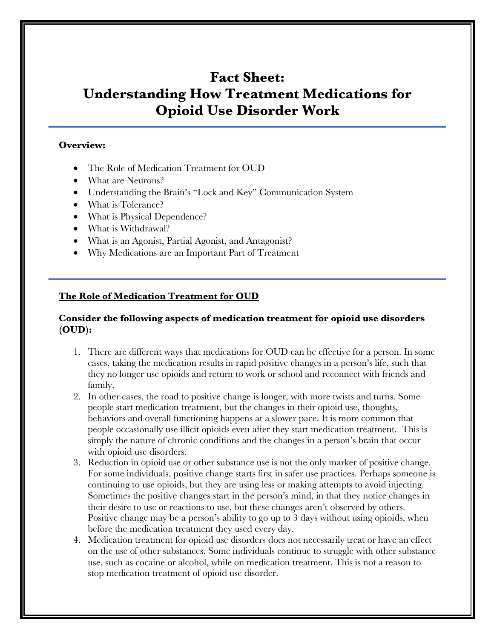# **Fact Sheet: Understanding How Treatment Medications for Opioid Use Disorder Work**

#### **Overview:**

- The Role of Medication Treatment for OUD
- What are Neurons?
- Understanding the Brain's "Lock and Key" Communication System
- What is Tolerance?
- What is Physical Dependence?
- What is Withdrawal?
- What is an Agonist, Partial Agonist, and Antagonist?
- Why Medications are an Important Part of Treatment

#### **The Role of Medication Treatment for OUD**

#### **Consider the following aspects of medication treatment for opioid use disorders (OUD):**

- 1. There are different ways that medications for OUD can be effective for a person. In some cases, taking the medication results in rapid positive changes in a person's life, such that they no longer use opioids and return to work or school and reconnect with friends and family.
- 2. In other cases, the road to positive change is longer, with more twists and turns. Some people start medication treatment, but the changes in their opioid use, thoughts, behaviors and overall functioning happens at a slower pace. It is more common that people occasionally use illicit opioids even after they start medication treatment. This is simply the nature of chronic conditions and the changes in a person's brain that occur with opioid use disorders.
- 3. Reduction in opioid use or other substance use is not the only marker of positive change. For some individuals, positive change starts first in safer use practices. Perhaps someone is continuing to use opioids, but they are using less or making attempts to avoid injecting. Sometimes the positive changes start in the person's mind, in that they notice changes in their desire to use or reactions to use, but these changes aren't observed by others. Positive change may be a person's ability to go up to 3 days without using opioids, when before the medication treatment they used every day.
- 4. Medication treatment for opioid use disorders does not necessarily treat or have an effect on the use of other substances. Some individuals continue to struggle with other substance use, such as cocaine or alcohol, while on medication treatment. This is not a reason to stop medication treatment of opioid use disorder.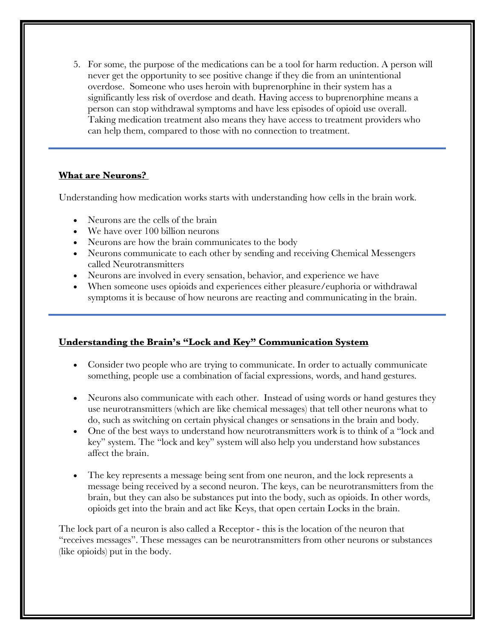5. For some, the purpose of the medications can be a tool for harm reduction. A person will never get the opportunity to see positive change if they die from an unintentional overdose. Someone who uses heroin with buprenorphine in their system has a significantly less risk of overdose and death. Having access to buprenorphine means a person can stop withdrawal symptoms and have less episodes of opioid use overall. Taking medication treatment also means they have access to treatment providers who can help them, compared to those with no connection to treatment.

### **What are Neurons?**

Understanding how medication works starts with understanding how cells in the brain work.

- Neurons are the cells of the brain
- We have over 100 billion neurons
- Neurons are how the brain communicates to the body
- Neurons communicate to each other by sending and receiving Chemical Messengers called Neurotransmitters
- Neurons are involved in every sensation, behavior, and experience we have
- When someone uses opioids and experiences either pleasure/euphoria or withdrawal symptoms it is because of how neurons are reacting and communicating in the brain.

### **Understanding the Brain's "Lock and Key" Communication System**

- Consider two people who are trying to communicate. In order to actually communicate something, people use a combination of facial expressions, words, and hand gestures.
- Neurons also communicate with each other. Instead of using words or hand gestures they use neurotransmitters (which are like chemical messages) that tell other neurons what to do, such as switching on certain physical changes or sensations in the brain and body.
- One of the best ways to understand how neurotransmitters work is to think of a "lock and key" system. The "lock and key" system will also help you understand how substances affect the brain.
- The key represents a message being sent from one neuron, and the lock represents a message being received by a second neuron. The keys, can be neurotransmitters from the brain, but they can also be substances put into the body, such as opioids. In other words, opioids get into the brain and act like Keys, that open certain Locks in the brain.

The lock part of a neuron is also called a Receptor - this is the location of the neuron that "receives messages". These messages can be neurotransmitters from other neurons or substances (like opioids) put in the body.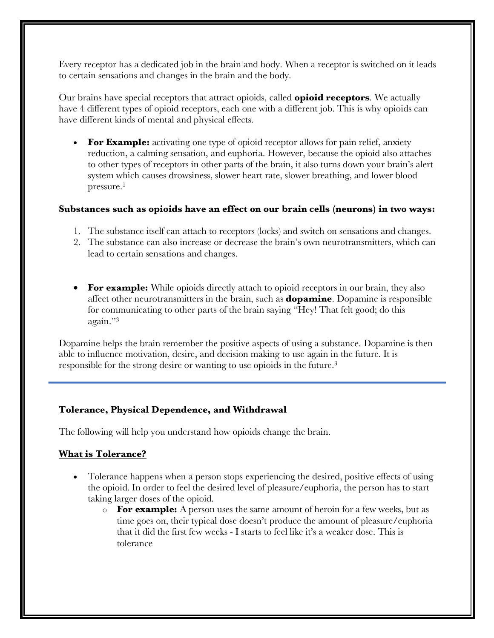Every receptor has a dedicated job in the brain and body. When a receptor is switched on it leads to certain sensations and changes in the brain and the body.

Our brains have special receptors that attract opioids, called **opioid receptors**. We actually have 4 different types of opioid receptors, each one with a different job. This is why opioids can have different kinds of mental and physical effects.

**For Example:** activating one type of opioid receptor allows for pain relief, anxiety reduction, a calming sensation, and euphoria. However, because the opioid also attaches to other types of receptors in other parts of the brain, it also turns down your brain's alert system which causes drowsiness, slower heart rate, slower breathing, and lower blood pressure. 1

#### **Substances such as opioids have an effect on our brain cells (neurons) in two ways:**

- 1. The substance itself can attach to receptors (locks) and switch on sensations and changes.
- 2. The substance can also increase or decrease the brain's own neurotransmitters, which can lead to certain sensations and changes.
- **For example:** While opioids directly attach to opioid receptors in our brain, they also affect other neurotransmitters in the brain, such as **dopamine**. Dopamine is responsible for communicating to other parts of the brain saying "Hey! That felt good; do this again."3

Dopamine helps the brain remember the positive aspects of using a substance. Dopamine is then able to influence motivation, desire, and decision making to use again in the future. It is responsible for the strong desire or wanting to use opioids in the future.3

### **Tolerance, Physical Dependence, and Withdrawal**

The following will help you understand how opioids change the brain.

### **What is Tolerance?**

- Tolerance happens when a person stops experiencing the desired, positive effects of using the opioid. In order to feel the desired level of pleasure/euphoria, the person has to start taking larger doses of the opioid.
	- o **For example:** A person uses the same amount of heroin for a few weeks, but as time goes on, their typical dose doesn't produce the amount of pleasure/euphoria that it did the first few weeks - I starts to feel like it's a weaker dose. This is tolerance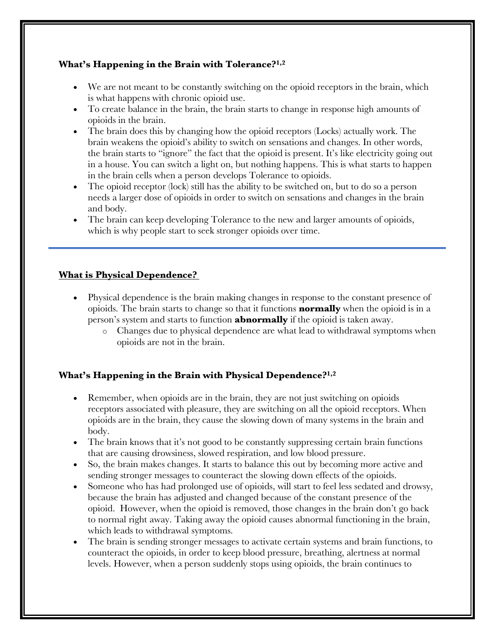# **What's Happening in the Brain with Tolerance?1,2**

- We are not meant to be constantly switching on the opioid receptors in the brain, which is what happens with chronic opioid use.
- To create balance in the brain, the brain starts to change in response high amounts of opioids in the brain.
- The brain does this by changing how the opioid receptors (Locks) actually work. The brain weakens the opioid's ability to switch on sensations and changes. In other words, the brain starts to "ignore" the fact that the opioid is present. It's like electricity going out in a house. You can switch a light on, but nothing happens. This is what starts to happen in the brain cells when a person develops Tolerance to opioids.
- The opioid receptor (lock) still has the ability to be switched on, but to do so a person needs a larger dose of opioids in order to switch on sensations and changes in the brain and body.
- The brain can keep developing Tolerance to the new and larger amounts of opioids, which is why people start to seek stronger opioids over time.

### **What is Physical Dependence?**

- Physical dependence is the brain making changes in response to the constant presence of opioids. The brain starts to change so that it functions **normally** when the opioid is in a person's system and starts to function **abnormally** if the opioid is taken away.
	- o Changes due to physical dependence are what lead to withdrawal symptoms when opioids are not in the brain.

### **What's Happening in the Brain with Physical Dependence?1,2**

- Remember, when opioids are in the brain, they are not just switching on opioids receptors associated with pleasure, they are switching on all the opioid receptors. When opioids are in the brain, they cause the slowing down of many systems in the brain and body.
- The brain knows that it's not good to be constantly suppressing certain brain functions that are causing drowsiness, slowed respiration, and low blood pressure.
- So, the brain makes changes. It starts to balance this out by becoming more active and sending stronger messages to counteract the slowing down effects of the opioids.
- Someone who has had prolonged use of opioids, will start to feel less sedated and drowsy, because the brain has adjusted and changed because of the constant presence of the opioid. However, when the opioid is removed, those changes in the brain don't go back to normal right away. Taking away the opioid causes abnormal functioning in the brain, which leads to withdrawal symptoms.
- The brain is sending stronger messages to activate certain systems and brain functions, to counteract the opioids, in order to keep blood pressure, breathing, alertness at normal levels. However, when a person suddenly stops using opioids, the brain continues to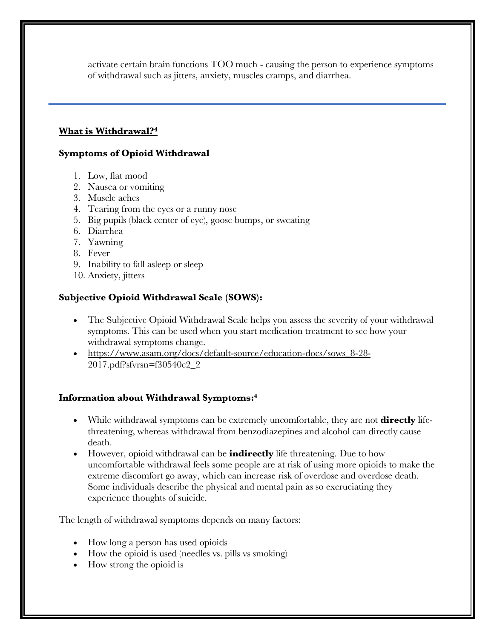activate certain brain functions TOO much - causing the person to experience symptoms of withdrawal such as jitters, anxiety, muscles cramps, and diarrhea.

#### **What is Withdrawal?4**

#### **Symptoms of Opioid Withdrawal**

- 1. Low, flat mood
- 2. Nausea or vomiting
- 3. Muscle aches
- 4. Tearing from the eyes or a runny nose
- 5. Big pupils (black center of eye), goose bumps, or sweating
- 6. Diarrhea
- 7. Yawning
- 8. Fever
- 9. Inability to fall asleep or sleep
- 10. Anxiety, jitters

### **Subjective Opioid Withdrawal Scale (SOWS):**

- The Subjective Opioid Withdrawal Scale helps you assess the severity of your withdrawal symptoms. This can be used when you start medication treatment to see how your withdrawal symptoms change.
- https://www.asam.org/docs/default-source/education-docs/sows\_8-28- 2017.pdf?sfvrsn=f30540c2\_2

### **Information about Withdrawal Symptoms:4**

- While withdrawal symptoms can be extremely uncomfortable, they are not **directly** lifethreatening, whereas withdrawal from benzodiazepines and alcohol can directly cause death.
- However, opioid withdrawal can be **indirectly** life threatening. Due to how uncomfortable withdrawal feels some people are at risk of using more opioids to make the extreme discomfort go away, which can increase risk of overdose and overdose death. Some individuals describe the physical and mental pain as so excruciating they experience thoughts of suicide.

The length of withdrawal symptoms depends on many factors:

- How long a person has used opioids
- How the opioid is used (needles vs. pills vs smoking)
- How strong the opioid is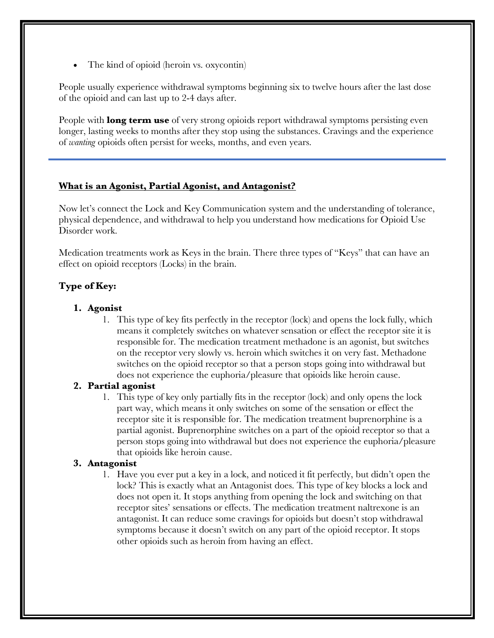• The kind of opioid (heroin vs. oxycontin)

People usually experience withdrawal symptoms beginning six to twelve hours after the last dose of the opioid and can last up to 2-4 days after.

People with **long term use** of very strong opioids report withdrawal symptoms persisting even longer, lasting weeks to months after they stop using the substances. Cravings and the experience of *wanting* opioids often persist for weeks, months, and even years.

#### **What is an Agonist, Partial Agonist, and Antagonist?**

Now let's connect the Lock and Key Communication system and the understanding of tolerance, physical dependence, and withdrawal to help you understand how medications for Opioid Use Disorder work.

Medication treatments work as Keys in the brain. There three types of "Keys" that can have an effect on opioid receptors (Locks) in the brain.

# **Type of Key:**

#### **1. Agonist**

1. This type of key fits perfectly in the receptor (lock) and opens the lock fully, which means it completely switches on whatever sensation or effect the receptor site it is responsible for. The medication treatment methadone is an agonist, but switches on the receptor very slowly vs. heroin which switches it on very fast. Methadone switches on the opioid receptor so that a person stops going into withdrawal but does not experience the euphoria/pleasure that opioids like heroin cause.

### **2. Partial agonist**

1. This type of key only partially fits in the receptor (lock) and only opens the lock part way, which means it only switches on some of the sensation or effect the receptor site it is responsible for. The medication treatment buprenorphine is a partial agonist. Buprenorphine switches on a part of the opioid receptor so that a person stops going into withdrawal but does not experience the euphoria/pleasure that opioids like heroin cause.

#### **3. Antagonist**

1. Have you ever put a key in a lock, and noticed it fit perfectly, but didn't open the lock? This is exactly what an Antagonist does. This type of key blocks a lock and does not open it. It stops anything from opening the lock and switching on that receptor sites' sensations or effects. The medication treatment naltrexone is an antagonist. It can reduce some cravings for opioids but doesn't stop withdrawal symptoms because it doesn't switch on any part of the opioid receptor. It stops other opioids such as heroin from having an effect.